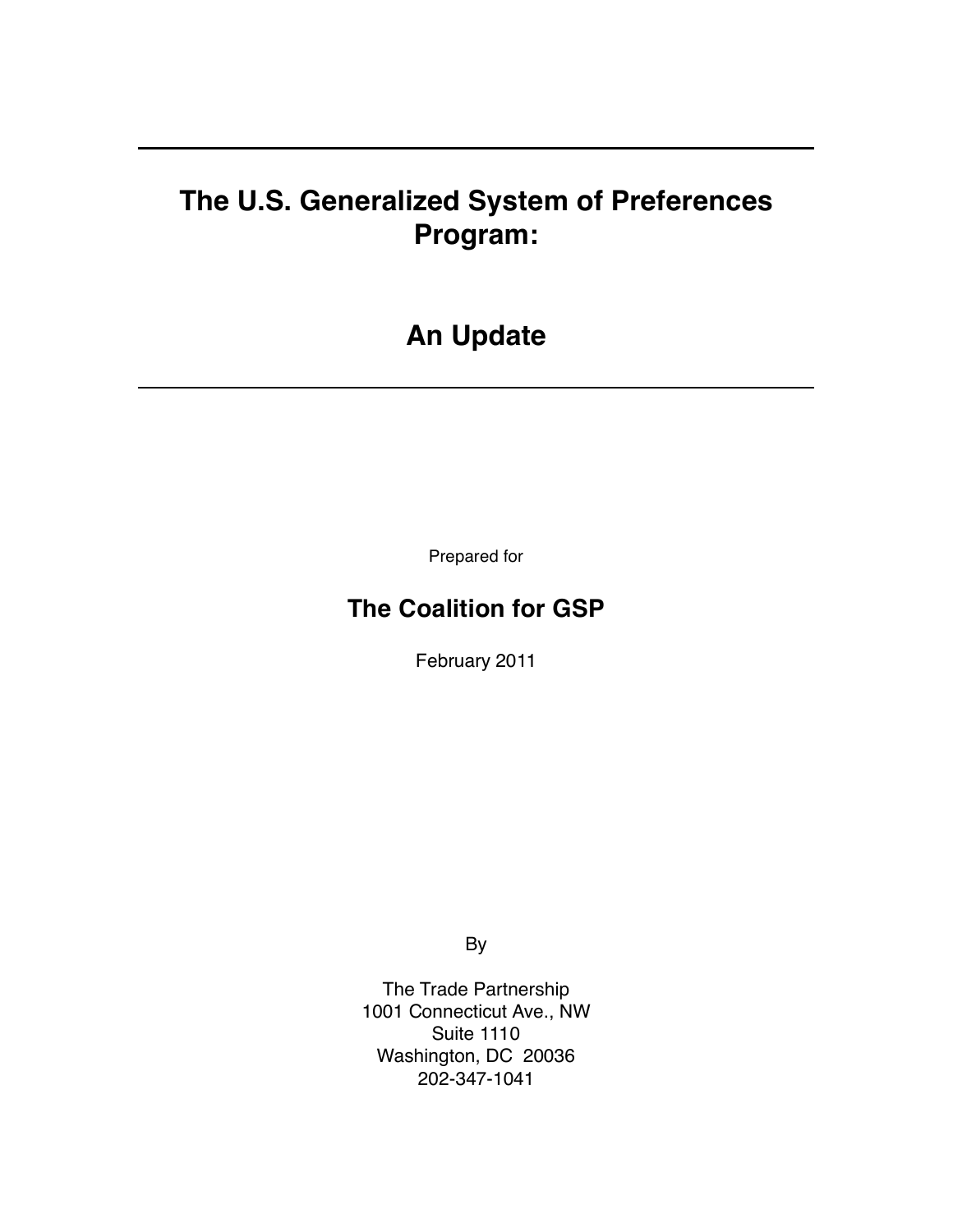# **The U.S. Generalized System of Preferences Program:**

# **An Update**

Prepared for

## **The Coalition for GSP**

February 2011

By

The Trade Partnership 1001 Connecticut Ave., NW Suite 1110 Washington, DC 20036 202-347-1041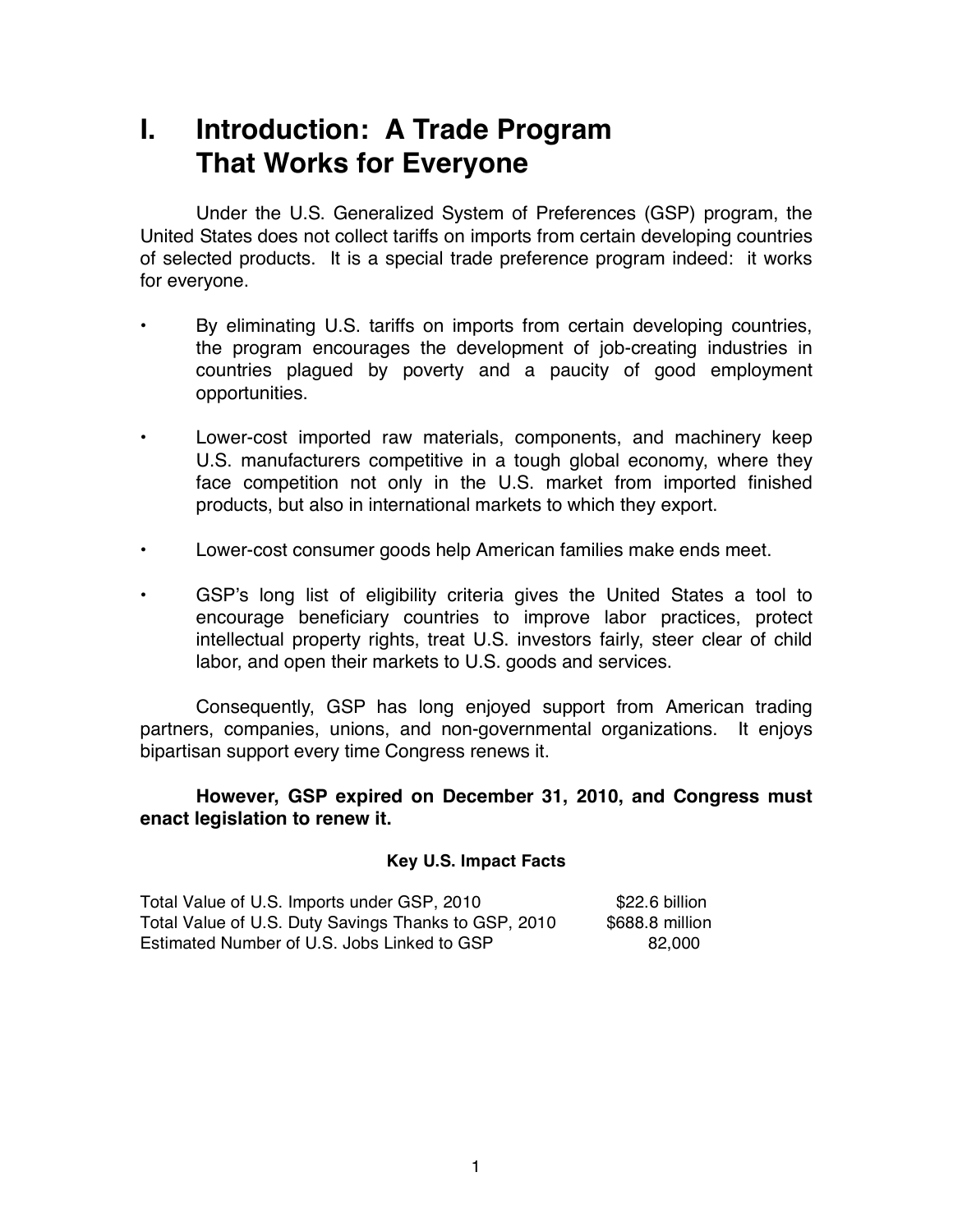# **I. Introduction: A Trade Program That Works for Everyone**

Under the U.S. Generalized System of Preferences (GSP) program, the United States does not collect tariffs on imports from certain developing countries of selected products. It is a special trade preference program indeed: it works for everyone.

- By eliminating U.S. tariffs on imports from certain developing countries, the program encourages the development of job-creating industries in countries plagued by poverty and a paucity of good employment opportunities.
- Lower-cost imported raw materials, components, and machinery keep U.S. manufacturers competitive in a tough global economy, where they face competition not only in the U.S. market from imported finished products, but also in international markets to which they export.
- Lower-cost consumer goods help American families make ends meet.
- GSP's long list of eligibility criteria gives the United States a tool to encourage beneficiary countries to improve labor practices, protect intellectual property rights, treat U.S. investors fairly, steer clear of child labor, and open their markets to U.S. goods and services.

Consequently, GSP has long enjoyed support from American trading partners, companies, unions, and non-governmental organizations. It enjoys bipartisan support every time Congress renews it.

### **However, GSP expired on December 31, 2010, and Congress must enact legislation to renew it.**

#### **Key U.S. Impact Facts**

| Total Value of U.S. Imports under GSP, 2010          | \$22.6 billion  |
|------------------------------------------------------|-----------------|
| Total Value of U.S. Duty Savings Thanks to GSP, 2010 | \$688.8 million |
| Estimated Number of U.S. Jobs Linked to GSP          | 82.000          |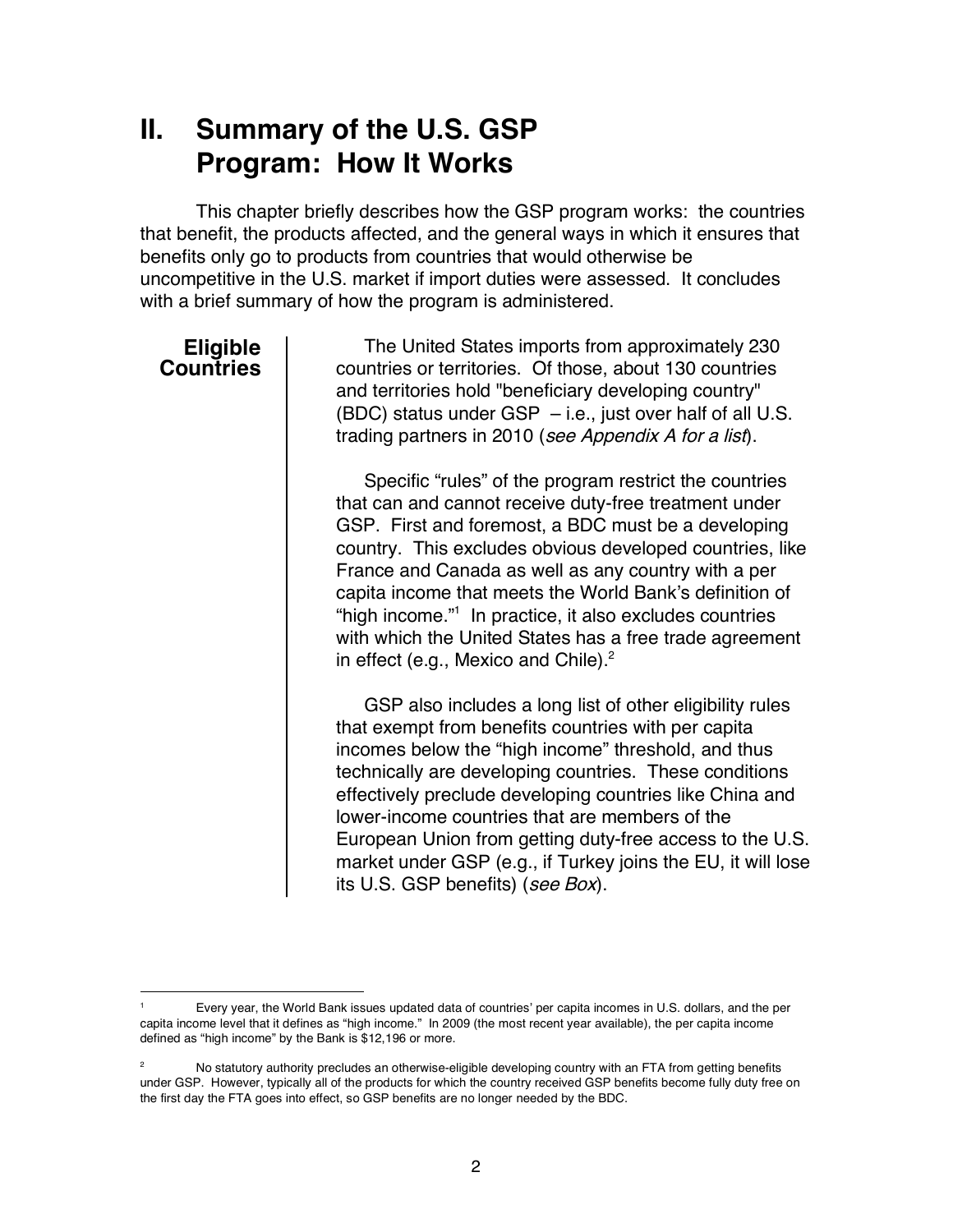# **II. Summary of the U.S. GSP Program: How It Works**

This chapter briefly describes how the GSP program works: the countries that benefit, the products affected, and the general ways in which it ensures that benefits only go to products from countries that would otherwise be uncompetitive in the U.S. market if import duties were assessed. It concludes with a brief summary of how the program is administered.

## **Eligible Countries**

The United States imports from approximately 230 countries or territories. Of those, about 130 countries and territories hold "beneficiary developing country" (BDC) status under GSP – i.e., just over half of all U.S. trading partners in 2010 (see Appendix A for a list).

Specific "rules" of the program restrict the countries that can and cannot receive duty-free treatment under GSP. First and foremost, a BDC must be a developing country. This excludes obvious developed countries, like France and Canada as well as any country with a per capita income that meets the World Bank's definition of "high income." <sup>1</sup> In practice, it also excludes countries with which the United States has a free trade agreement in effect (e.g., Mexico and Chile). $^2$ 

GSP also includes a long list of other eligibility rules that exempt from benefits countries with per capita incomes below the "high income" threshold, and thus technically are developing countries. These conditions effectively preclude developing countries like China and lower-income countries that are members of the European Union from getting duty-free access to the U.S. market under GSP (e.g., if Turkey joins the EU, it will lose its U.S. GSP benefits) (see Box).

 <sup>1</sup> Every year, the World Bank issues updated data of countries' per capita incomes in U.S. dollars, and the per capita income level that it defines as "high income." In 2009 (the most recent year available), the per capita income defined as "high income" by the Bank is \$12,196 or more.

<sup>&</sup>lt;sup>2</sup> No statutory authority precludes an otherwise-eligible developing country with an FTA from getting benefits under GSP. However, typically all of the products for which the country received GSP benefits become fully duty free on the first day the FTA goes into effect, so GSP benefits are no longer needed by the BDC.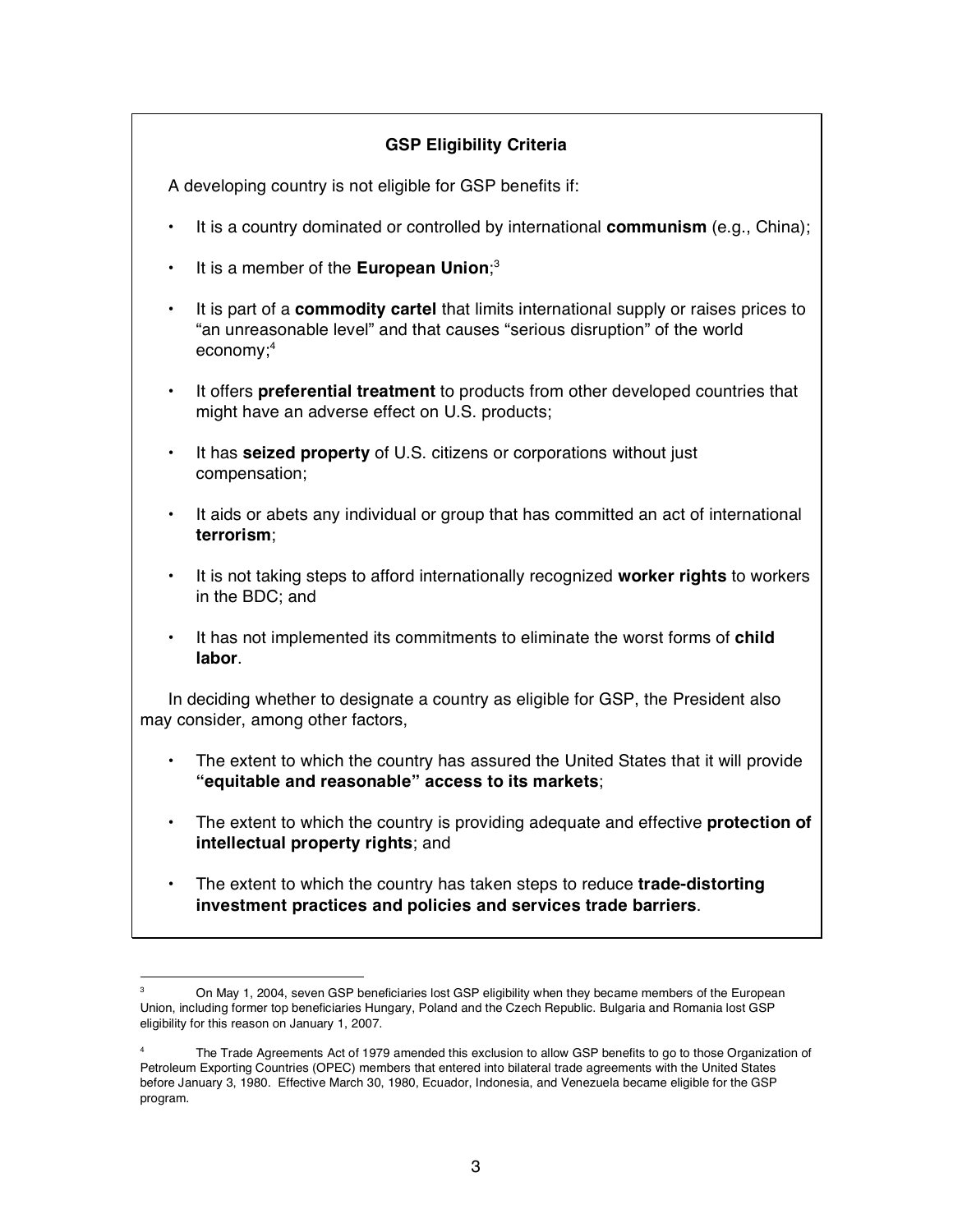### **GSP Eligibility Criteria**

A developing country is not eligible for GSP benefits if:

- It is a country dominated or controlled by international **communism** (e.g., China);
- It is a member of the **European Union**; 3
- It is part of a **commodity cartel** that limits international supply or raises prices to "an unreasonable level" and that causes "serious disruption" of the world economy; 4
- It offers **preferential treatment** to products from other developed countries that might have an adverse effect on U.S. products;
- It has **seized property** of U.S. citizens or corporations without just compensation;
- It aids or abets any individual or group that has committed an act of international **terrorism**;
- It is not taking steps to afford internationally recognized **worker rights** to workers in the BDC; and
- It has not implemented its commitments to eliminate the worst forms of **child labor**.

In deciding whether to designate a country as eligible for GSP, the President also may consider, among other factors,

- The extent to which the country has assured the United States that it will provide **"equitable and reasonable" access to its markets**;
- The extent to which the country is providing adequate and effective **protection of intellectual property rights**; and
- The extent to which the country has taken steps to reduce **trade-distorting investment practices and policies and services trade barriers**.

On May 1, 2004, seven GSP beneficiaries lost GSP eligibility when they became members of the European Union, including former top beneficiaries Hungary, Poland and the Czech Republic. Bulgaria and Romania lost GSP eligibility for this reason on January 1, 2007.

The Trade Agreements Act of 1979 amended this exclusion to allow GSP benefits to go to those Organization of Petroleum Exporting Countries (OPEC) members that entered into bilateral trade agreements with the United States before January 3, 1980. Effective March 30, 1980, Ecuador, Indonesia, and Venezuela became eligible for the GSP program.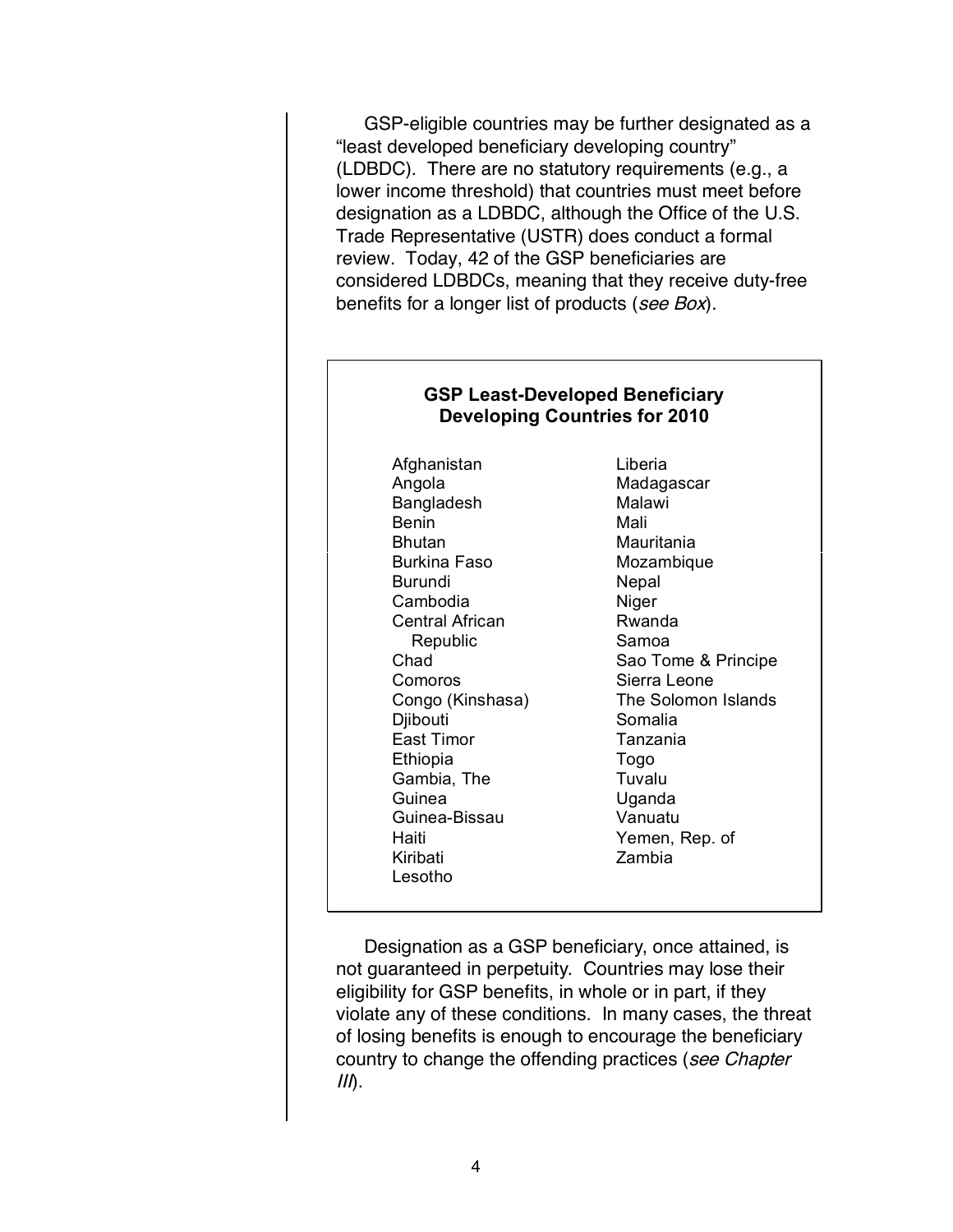GSP-eligible countries may be further designated as a "least developed beneficiary developing country" (LDBDC). There are no statutory requirements (e.g., a lower income threshold) that countries must meet before designation as a LDBDC, although the Office of the U.S. Trade Representative (USTR) does conduct a formal review. Today, 42 of the GSP beneficiaries are considered LDBDCs, meaning that they receive duty-free benefits for a longer list of products (see Box).

#### **GSP Least-Developed Beneficiary Developing Countries for 2010**

Afghanistan Liberia Angola Madagascar Bangladesh Malawi Benin Mali Bhutan Mauritania Burkina Faso Mozambique Burundi Nepal Cambodia Niger Central African **Rwanda** Republic Samoa Comoros Sierra Leone Djibouti Somalia East Timor **Tanzania** Ethiopia Togo Gambia, The **Tuvalu** Guinea Uganda Guinea-Bissau Vanuatu Haiti Yemen, Rep. of Kiribati Zambia Lesotho

Chad Sao Tome & Principe Congo (Kinshasa) The Solomon Islands

Designation as a GSP beneficiary, once attained, is not guaranteed in perpetuity. Countries may lose their eligibility for GSP benefits, in whole or in part, if they violate any of these conditions. In many cases, the threat of losing benefits is enough to encourage the beneficiary country to change the offending practices (see Chapter  $III$ ).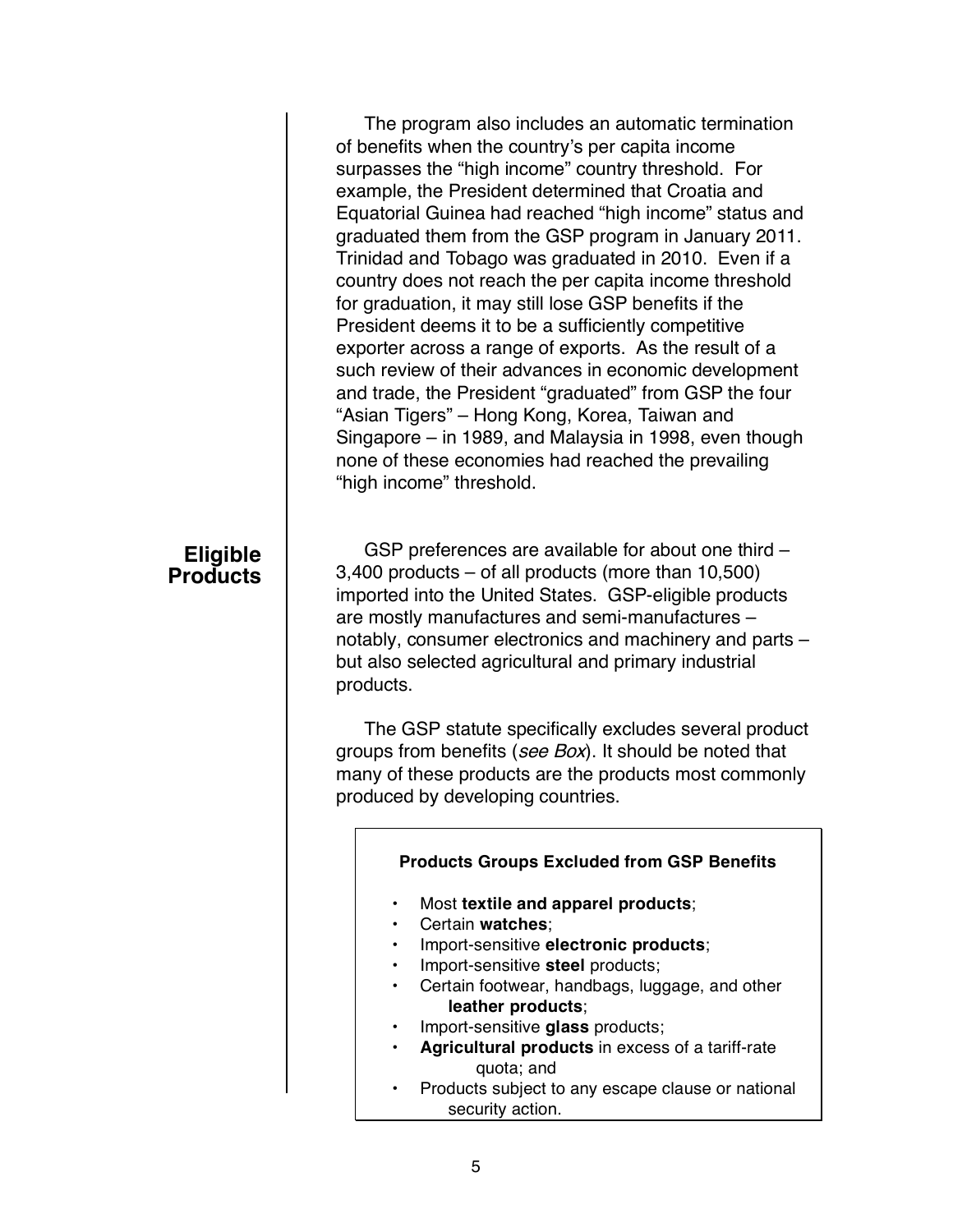The program also includes an automatic termination of benefits when the country's per capita income surpasses the "high income" country threshold. For example, the President determined that Croatia and Equatorial Guinea had reached "high income" status and graduated them from the GSP program in January 2011. Trinidad and Tobago was graduated in 2010. Even if a country does not reach the per capita income threshold for graduation, it may still lose GSP benefits if the President deems it to be a sufficiently competitive exporter across a range of exports. As the result of a such review of their advances in economic development and trade, the President "graduated" from GSP the four "Asian Tigers" – Hong Kong, Korea, Taiwan and Singapore – in 1989, and Malaysia in 1998, even though none of these economies had reached the prevailing "high income" threshold.

## **Eligible Products**

GSP preferences are available for about one third – 3,400 products – of all products (more than 10,500) imported into the United States. GSP-eligible products are mostly manufactures and semi-manufactures – notably, consumer electronics and machinery and parts – but also selected agricultural and primary industrial products.

The GSP statute specifically excludes several product groups from benefits (see Box). It should be noted that many of these products are the products most commonly produced by developing countries.

#### **Products Groups Excluded from GSP Benefits**

- Most **textile and apparel products**;
- Certain **watches**;
- Import-sensitive **electronic products**;
- Import-sensitive **steel** products;
- Certain footwear, handbags, luggage, and other **leather products**;
- Import-sensitive **glass** products;
- **Agricultural products** in excess of a tariff-rate quota; and
- Products subject to any escape clause or national security action.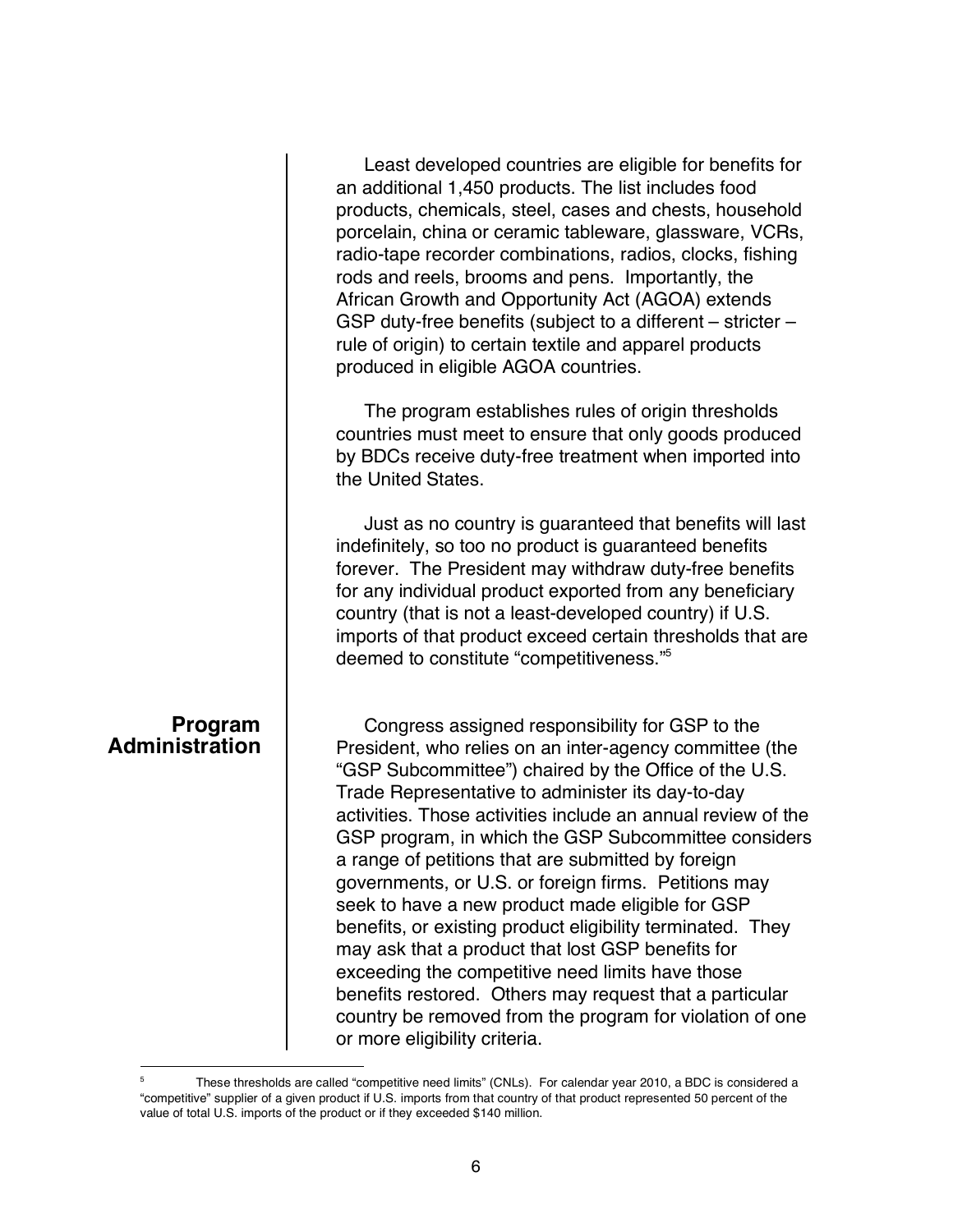|                                  | Least developed countries are eligible for benefits for<br>an additional 1,450 products. The list includes food<br>products, chemicals, steel, cases and chests, household<br>porcelain, china or ceramic tableware, glassware, VCRs,<br>radio-tape recorder combinations, radios, clocks, fishing<br>rods and reels, brooms and pens. Importantly, the<br>African Growth and Opportunity Act (AGOA) extends<br>GSP duty-free benefits (subject to a different – stricter –<br>rule of origin) to certain textile and apparel products<br>produced in eligible AGOA countries.                                                                                                                                                                                                                                   |
|----------------------------------|------------------------------------------------------------------------------------------------------------------------------------------------------------------------------------------------------------------------------------------------------------------------------------------------------------------------------------------------------------------------------------------------------------------------------------------------------------------------------------------------------------------------------------------------------------------------------------------------------------------------------------------------------------------------------------------------------------------------------------------------------------------------------------------------------------------|
|                                  | The program establishes rules of origin thresholds<br>countries must meet to ensure that only goods produced<br>by BDCs receive duty-free treatment when imported into<br>the United States.                                                                                                                                                                                                                                                                                                                                                                                                                                                                                                                                                                                                                     |
|                                  | Just as no country is guaranteed that benefits will last<br>indefinitely, so too no product is guaranteed benefits<br>forever. The President may withdraw duty-free benefits<br>for any individual product exported from any beneficiary<br>country (that is not a least-developed country) if U.S.<br>imports of that product exceed certain thresholds that are<br>deemed to constitute "competitiveness." <sup>5</sup>                                                                                                                                                                                                                                                                                                                                                                                        |
| Program<br><b>Administration</b> | Congress assigned responsibility for GSP to the<br>President, who relies on an inter-agency committee (the<br>"GSP Subcommittee") chaired by the Office of the U.S.<br>Trade Representative to administer its day-to-day<br>activities. Those activities include an annual review of the<br>GSP program, in which the GSP Subcommittee considers<br>a range of petitions that are submitted by foreign<br>governments, or U.S. or foreign firms. Petitions may<br>seek to have a new product made eligible for GSP<br>benefits, or existing product eligibility terminated. They<br>may ask that a product that lost GSP benefits for<br>exceeding the competitive need limits have those<br>benefits restored. Others may request that a particular<br>country be removed from the program for violation of one |

or more eligibility criteria.

<sup>&</sup>lt;sup>5</sup> These thresholds are called "competitive need limits" (CNLs). For calendar year 2010, a BDC is considered a "competitive" supplier of a given product if U.S. imports from that country of that product represented 50 percent of the value of total U.S. imports of the product or if they exceeded \$140 million.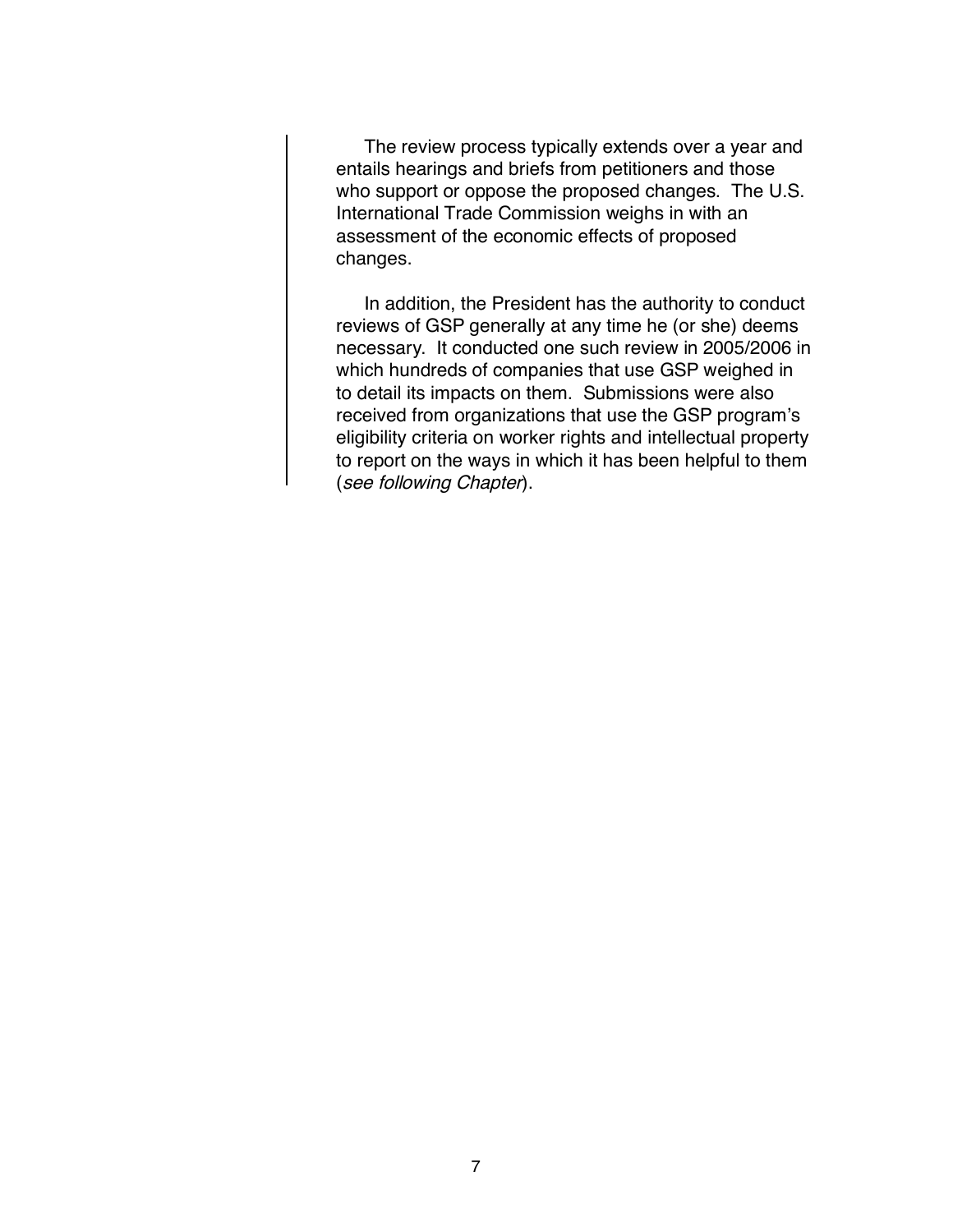The review process typically extends over a year and entails hearings and briefs from petitioners and those who support or oppose the proposed changes. The U.S. International Trade Commission weighs in with an assessment of the economic effects of proposed changes.

In addition, the President has the authority to conduct reviews of GSP generally at any time he (or she) deems necessary. It conducted one such review in 2005/2006 in which hundreds of companies that use GSP weighed in to detail its impacts on them. Submissions were also received from organizations that use the GSP program's eligibility criteria on worker rights and intellectual property to report on the ways in which it has been helpful to them (see following Chapter).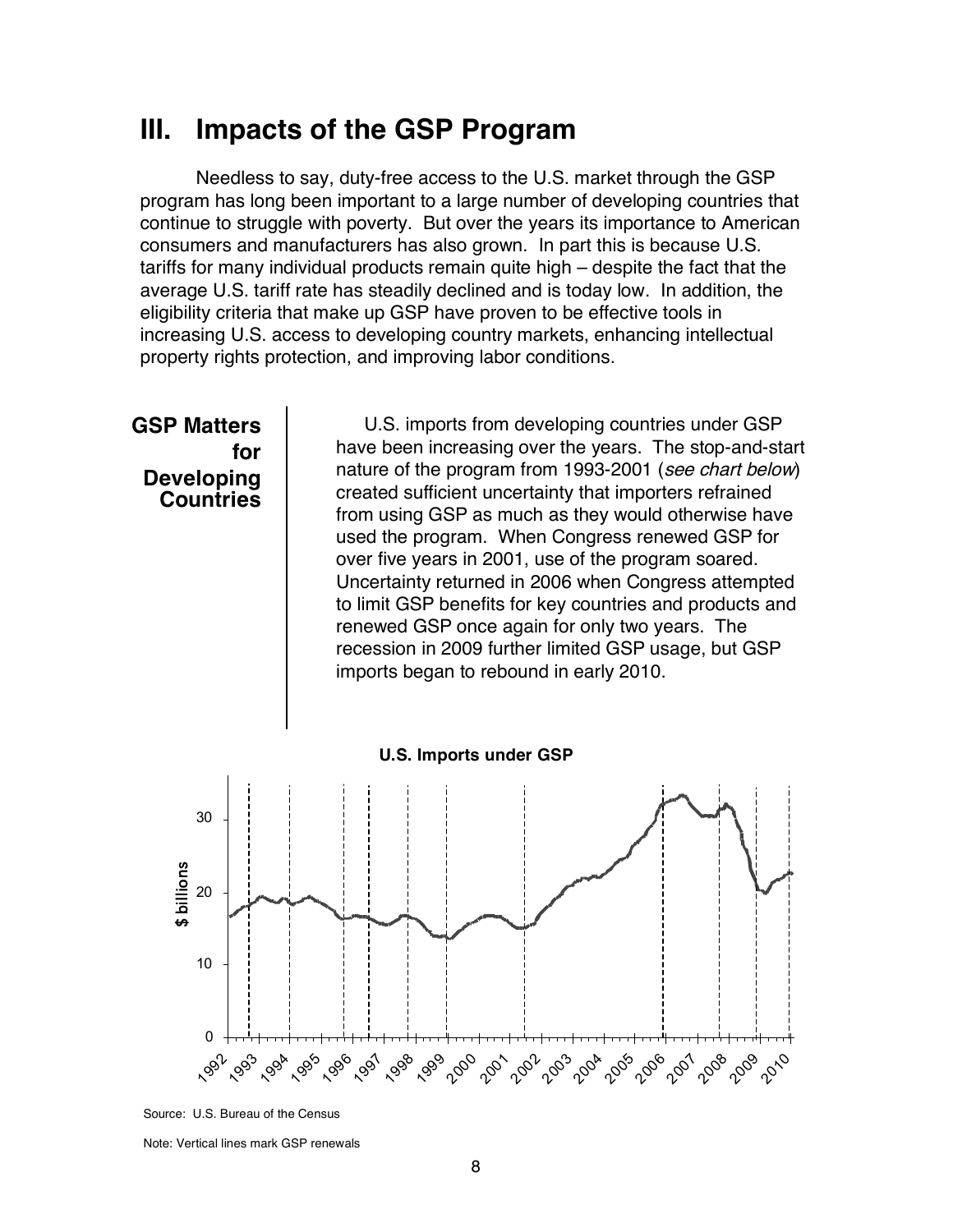## **III. Impacts of the GSP Program**

Needless to say, duty-free access to the U.S. market through the GSP program has long been important to a large number of developing countries that continue to struggle with poverty. But over the years its importance to American consumers and manufacturers has also grown. In part this is because U.S. tariffs for many individual products remain quite high – despite the fact that the average U.S. tariff rate has steadily declined and is today low. In addition, the eligibility criteria that make up GSP have proven to be effective tools in increasing U.S. access to developing country markets, enhancing intellectual property rights protection, and improving labor conditions.



Source: U.S. Bureau of the Census

Note: Vertical lines mark GSP renewals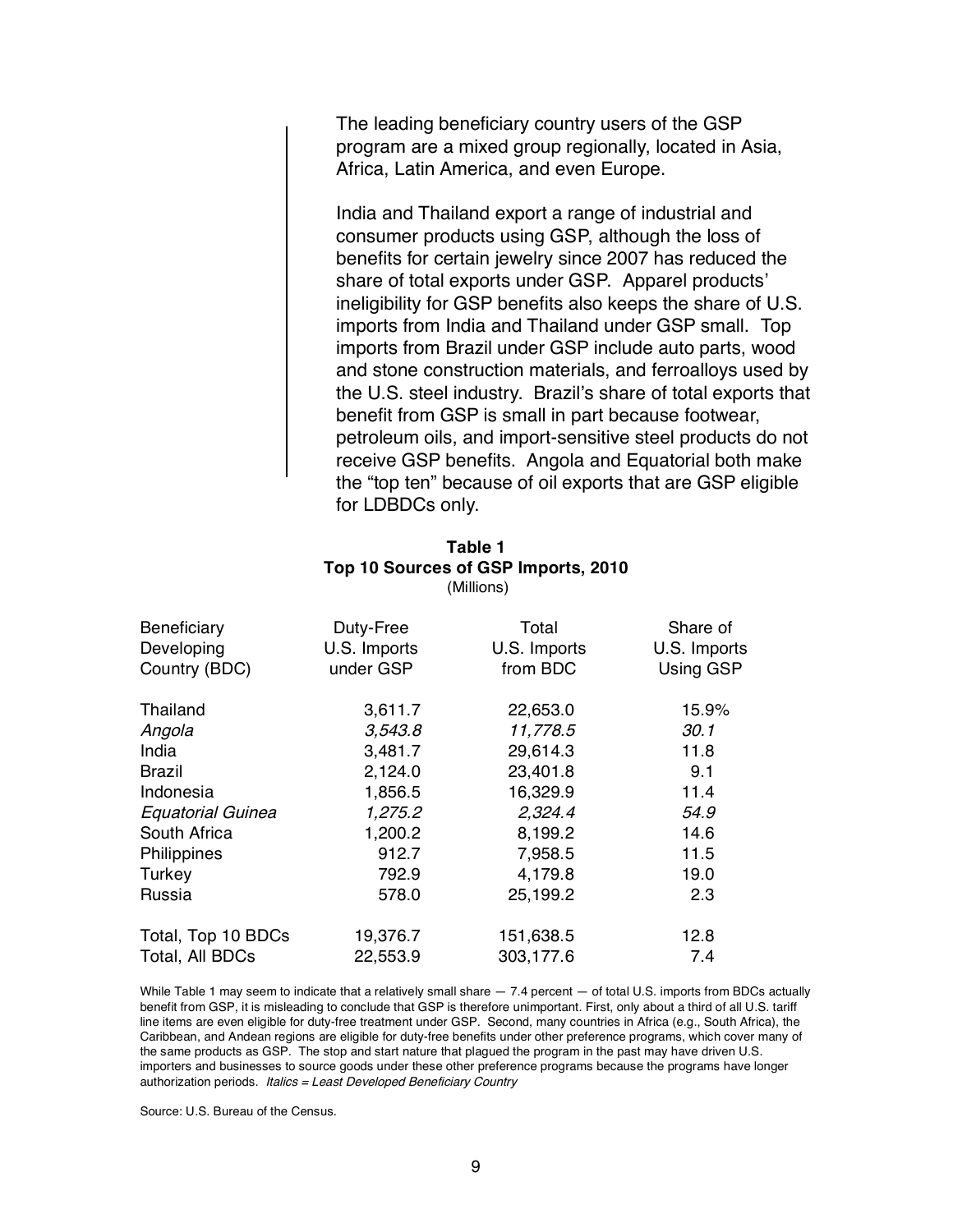The leading beneficiary country users of the GSP program are a mixed group regionally, located in Asia, Africa, Latin America, and even Europe.

India and Thailand export a range of industrial and consumer products using GSP, although the loss of benefits for certain jewelry since 2007 has reduced the share of total exports under GSP. Apparel products' ineligibility for GSP benefits also keeps the share of U.S. imports from India and Thailand under GSP small. Top imports from Brazil under GSP include auto parts, wood and stone construction materials, and ferroalloys used by the U.S. steel industry. Brazil's share of total exports that benefit from GSP is small in part because footwear, petroleum oils, and import-sensitive steel products do not receive GSP benefits. Angola and Equatorial both make the "top ten" because of oil exports that are GSP eligible for LDBDCs only.

#### **Table 1 Top 10 Sources of GSP Imports, 2010** (Millions)

| Beneficiary<br>Developing<br>Country (BDC) | Duty-Free<br>U.S. Imports<br>under GSP | Total<br>U.S. Imports<br>from BDC | Share of<br>U.S. Imports<br>Using GSP |
|--------------------------------------------|----------------------------------------|-----------------------------------|---------------------------------------|
|                                            |                                        |                                   |                                       |
| Thailand                                   | 3,611.7                                | 22,653.0                          | 15.9%                                 |
| Angola                                     | 3,543.8                                | 11,778.5                          | 30.1                                  |
| India                                      | 3,481.7                                | 29,614.3                          | 11.8                                  |
| <b>Brazil</b>                              | 2,124.0                                | 23,401.8                          | 9.1                                   |
| Indonesia                                  | 1,856.5                                | 16,329.9                          | 11.4                                  |
| <b>Equatorial Guinea</b>                   | 1,275.2                                | 2,324.4                           | 54.9                                  |
| South Africa                               | 1,200.2                                | 8,199.2                           | 14.6                                  |
| Philippines                                | 912.7                                  | 7,958.5                           | 11.5                                  |
| Turkey                                     | 792.9                                  | 4,179.8                           | 19.0                                  |
| Russia                                     | 578.0                                  | 25,199.2                          | 2.3                                   |
| Total, Top 10 BDCs                         | 19,376.7                               | 151,638.5                         | 12.8                                  |
| Total, All BDCs                            | 22,553.9                               | 303,177.6                         | 7.4                                   |

While Table 1 may seem to indicate that a relatively small share — 7.4 percent — of total U.S. imports from BDCs actually benefit from GSP, it is misleading to conclude that GSP is therefore unimportant. First, only about a third of all U.S. tariff line items are even eligible for duty-free treatment under GSP. Second, many countries in Africa (e.g., South Africa), the Caribbean, and Andean regions are eligible for duty-free benefits under other preference programs, which cover many of the same products as GSP. The stop and start nature that plagued the program in the past may have driven U.S. importers and businesses to source goods under these other preference programs because the programs have longer authorization periods. Italics <sup>=</sup> Least Developed Beneficiary Country

Source: U.S. Bureau of the Census.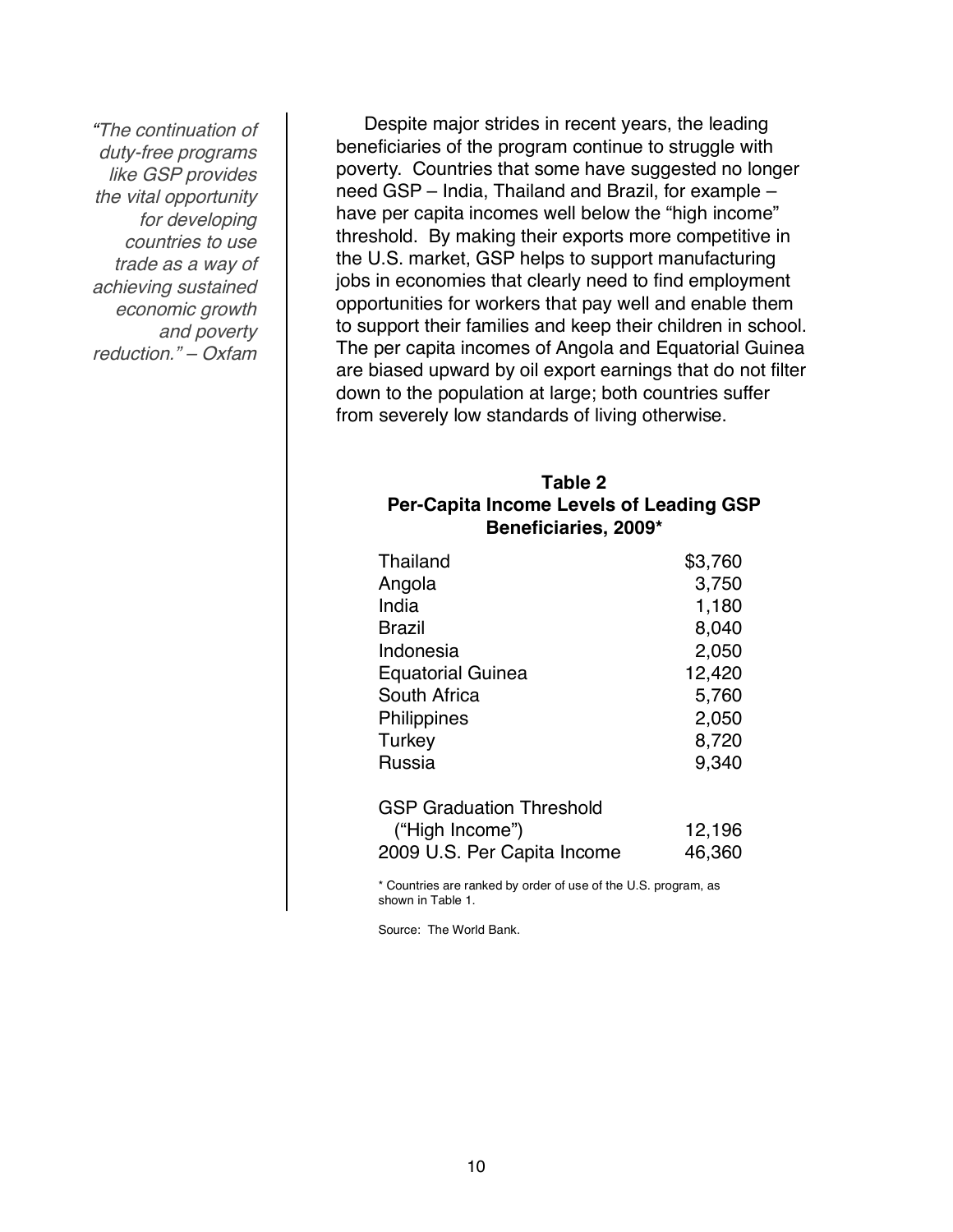"The continuation of duty-free programs like GSP provides the vital opportunity for developing countries to use trade as a way of achieving sustained economic growth and poverty reduction." – Oxfam

Despite major strides in recent years, the leading beneficiaries of the program continue to struggle with poverty. Countries that some have suggested no longer need GSP – India, Thailand and Brazil, for example – have per capita incomes well below the "high income" threshold. By making their exports more competitive in the U.S. market, GSP helps to support manufacturing jobs in economies that clearly need to find employment opportunities for workers that pay well and enable them to support their families and keep their children in school. The per capita incomes of Angola and Equatorial Guinea are biased upward by oil export earnings that do not filter down to the population at large; both countries suffer from severely low standards of living otherwise.

### **Table 2 Per-Capita Income Levels of Leading GSP Beneficiaries, 2009\***

| Thailand                 | \$3,760 |
|--------------------------|---------|
| Angola                   | 3,750   |
| India                    | 1,180   |
| Brazil                   | 8,040   |
| Indonesia                | 2,050   |
| <b>Equatorial Guinea</b> | 12,420  |
| South Africa             | 5,760   |
| Philippines              | 2,050   |
| Turkey                   | 8,720   |
| Russia                   | 9,340   |
|                          |         |

| <b>GSP Graduation Threshold</b> |        |
|---------------------------------|--------|
| ("High Income")                 | 12,196 |
| 2009 U.S. Per Capita Income     | 46,360 |

\* Countries are ranked by order of use of the U.S. program, as shown in Table 1.

Source: The World Bank.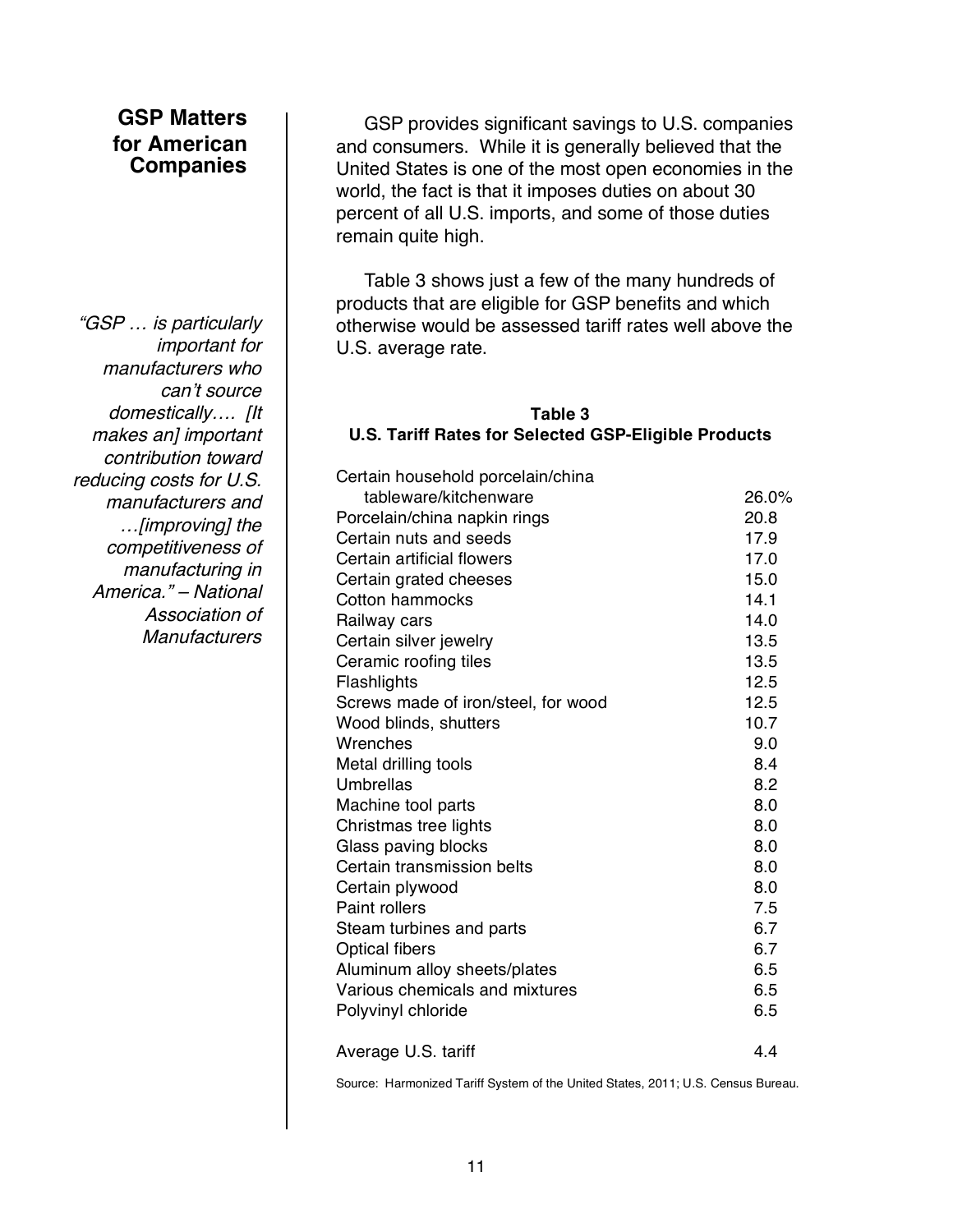## **GSP Matters for American Companies**

"GSP … is particularly important for manufacturers who can't source domestically…. [It makes an] important contribution toward reducing costs for U.S. manufacturers and …[improving] the competitiveness of manufacturing in America." – National Association of **Manufacturers** 

GSP provides significant savings to U.S. companies and consumers. While it is generally believed that the United States is one of the most open economies in the world, the fact is that it imposes duties on about 30 percent of all U.S. imports, and some of those duties remain quite high.

Table 3 shows just a few of the many hundreds of products that are eligible for GSP benefits and which otherwise would be assessed tariff rates well above the U.S. average rate.

#### **Table 3**

#### **U.S. Tariff Rates for Selected GSP-Eligible Products**

Certain household porcelain/china tableware/kitchenware 26.0% Porcelain/china napkin rings 20.8 Certain nuts and seeds 17.9 Certain artificial flowers 17.0 Certain grated cheeses 15.0 Cotton hammocks 14.1 Railway cars **14.0** Certain silver jewelry 13.5 Ceramic roofing tiles 13.5 Flashlights 12.5 Screws made of iron/steel, for wood 12.5 Wood blinds, shutters 10.7 Wrenches 9.0 Metal drilling tools 8.4 Umbrellas 8.2 Machine tool parts 8.0 Christmas tree lights 8.0 Glass paving blocks and the set of the Second Second B.0 Certain transmission belts 8.0 Certain plywood 8.0 Paint rollers 7.5 Steam turbines and parts 6.7 Optical fibers 6.7 Aluminum alloy sheets/plates 6.5 Various chemicals and mixtures **6.5** Polyvinyl chloride 6.5 Average U.S. tariff 4.4

Source: Harmonized Tariff System of the United States, 2011; U.S. Census Bureau.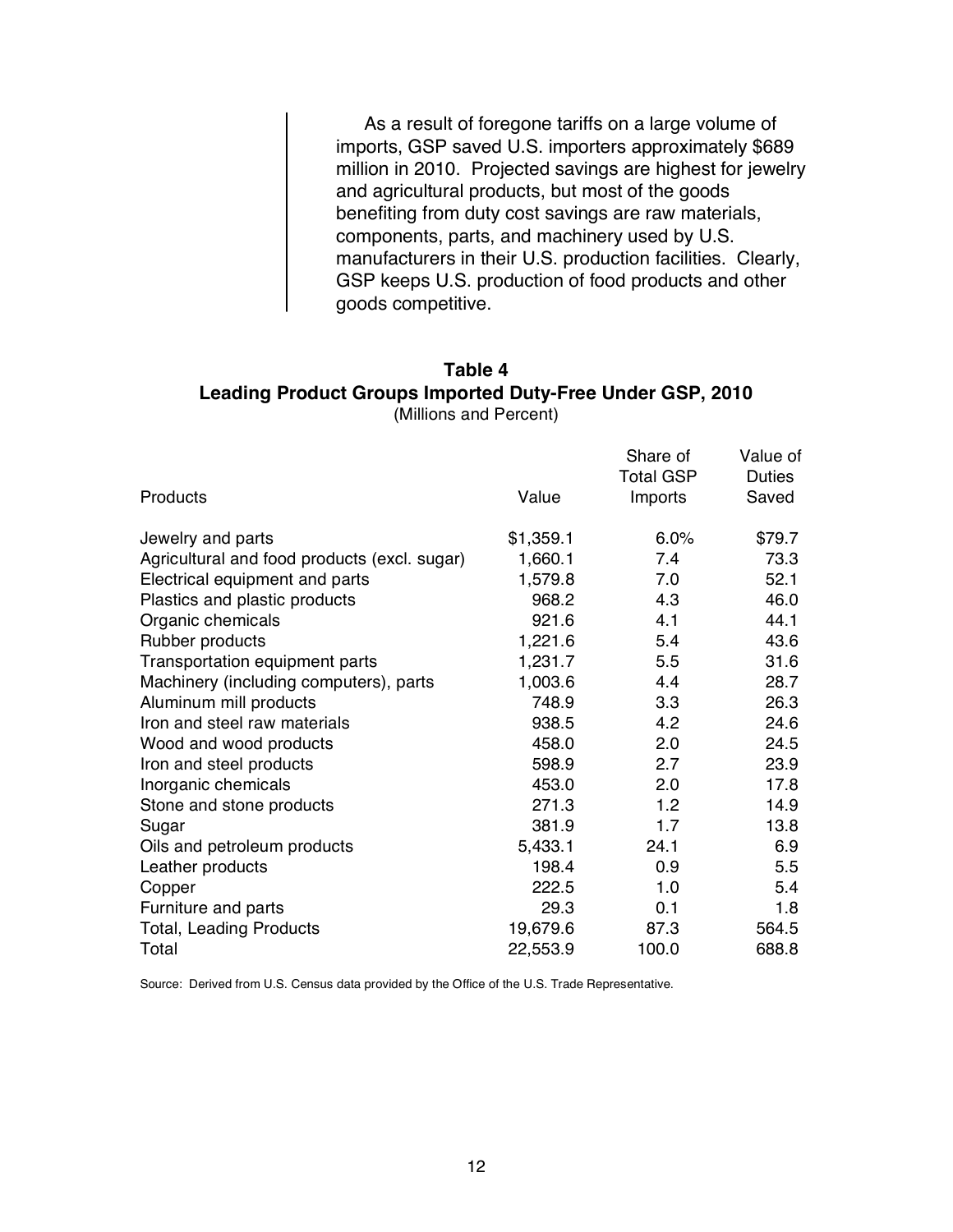As a result of foregone tariffs on a large volume of imports, GSP saved U.S. importers approximately \$689 million in 2010. Projected savings are highest for jewelry and agricultural products, but most of the goods benefiting from duty cost savings are raw materials, components, parts, and machinery used by U.S. manufacturers in their U.S. production facilities. Clearly, GSP keeps U.S. production of food products and other goods competitive.

#### **Table 4 Leading Product Groups Imported Duty-Free Under GSP, 2010** (Millions and Percent)

|                                              |           | Share of         | Value of      |
|----------------------------------------------|-----------|------------------|---------------|
|                                              |           | <b>Total GSP</b> | <b>Duties</b> |
| <b>Products</b>                              | Value     | Imports          | Saved         |
| Jewelry and parts                            | \$1,359.1 | 6.0%             | \$79.7        |
| Agricultural and food products (excl. sugar) | 1,660.1   | 7.4              | 73.3          |
| Electrical equipment and parts               | 1,579.8   | 7.0              | 52.1          |
| Plastics and plastic products                | 968.2     | 4.3              | 46.0          |
| Organic chemicals                            | 921.6     | 4.1              | 44.1          |
| Rubber products                              | 1,221.6   | 5.4              | 43.6          |
| Transportation equipment parts               | 1,231.7   | 5.5              | 31.6          |
| Machinery (including computers), parts       | 1,003.6   | 4.4              | 28.7          |
| Aluminum mill products                       | 748.9     | 3.3              | 26.3          |
| Iron and steel raw materials                 | 938.5     | 4.2              | 24.6          |
| Wood and wood products                       | 458.0     | 2.0              | 24.5          |
| Iron and steel products                      | 598.9     | 2.7              | 23.9          |
| Inorganic chemicals                          | 453.0     | 2.0              | 17.8          |
| Stone and stone products                     | 271.3     | 1.2              | 14.9          |
| Sugar                                        | 381.9     | 1.7              | 13.8          |
| Oils and petroleum products                  | 5,433.1   | 24.1             | 6.9           |
| Leather products                             | 198.4     | 0.9              | 5.5           |
| Copper                                       | 222.5     | 1.0              | 5.4           |
| Furniture and parts                          | 29.3      | 0.1              | 1.8           |
| <b>Total, Leading Products</b>               | 19,679.6  | 87.3             | 564.5         |
| Total                                        | 22,553.9  | 100.0            | 688.8         |

Source: Derived from U.S. Census data provided by the Office of the U.S. Trade Representative.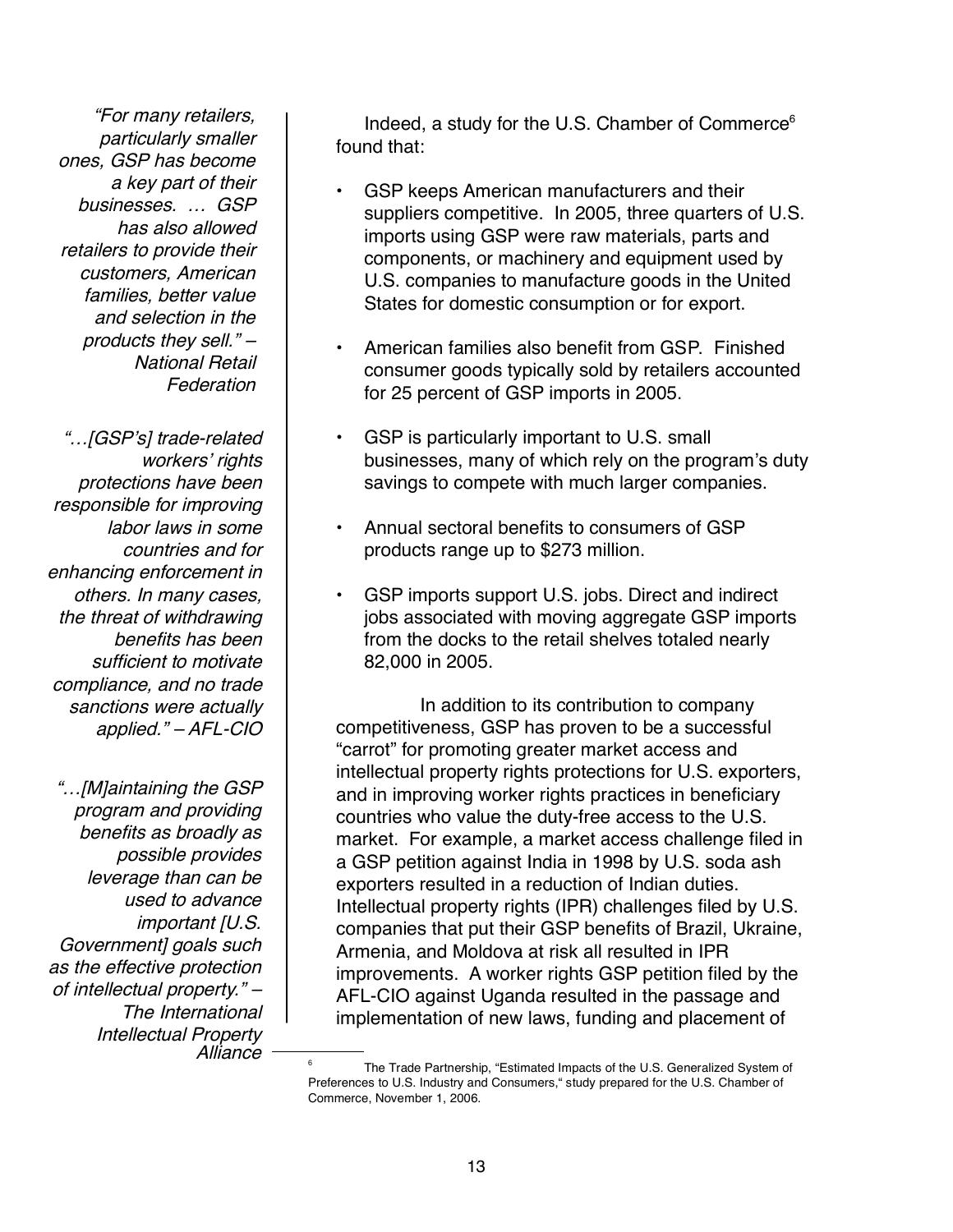"For many retailers, particularly smaller ones, GSP has become <sup>a</sup> key part of their businesses. … GSP has also allowed retailers to provide their customers, American families, better value and selection in the products they sell." – National Retail Federation

"…[GSP's] trade-related workers' rights protections have been responsible for improving labor laws in some countries and for enhancing enforcement in others. In many cases, the threat of withdrawing benefits has been sufficient to motivate compliance, and no trade sanctions were actually applied." – AFL-CIO

"…[M]aintaining the GSP program and providing benefits as broadly as possible provides leverage than can be used to advance important [U.S. Government] goals such as the effective protection of intellectual property." – The International Intellectual Property Alliance

Indeed, a study for the U.S. Chamber of Commerce $<sup>6</sup>$ </sup> found that:

- GSP keeps American manufacturers and their suppliers competitive. In 2005, three quarters of U.S. imports using GSP were raw materials, parts and components, or machinery and equipment used by U.S. companies to manufacture goods in the United States for domestic consumption or for export.
- American families also benefit from GSP. Finished consumer goods typically sold by retailers accounted for 25 percent of GSP imports in 2005.
- GSP is particularly important to U.S. small businesses, many of which rely on the program's duty savings to compete with much larger companies.
- Annual sectoral benefits to consumers of GSP products range up to \$273 million.
- GSP imports support U.S. jobs. Direct and indirect jobs associated with moving aggregate GSP imports from the docks to the retail shelves totaled nearly 82,000 in 2005.

In addition to its contribution to company competitiveness, GSP has proven to be a successful "carrot" for promoting greater market access and intellectual property rights protections for U.S. exporters, and in improving worker rights practices in beneficiary countries who value the duty-free access to the U.S. market. For example, a market access challenge filed in a GSP petition against India in 1998 by U.S. soda ash exporters resulted in a reduction of Indian duties. Intellectual property rights (IPR) challenges filed by U.S. companies that put their GSP benefits of Brazil, Ukraine, Armenia, and Moldova at risk all resulted in IPR improvements. A worker rights GSP petition filed by the AFL-CIO against Uganda resulted in the passage and implementation of new laws, funding and placement of

<sup>&</sup>lt;sup>6</sup> The Trade Partnership, "Estimated Impacts of the U.S. Generalized System of Preferences to U.S. Industry and Consumers," study prepared for the U.S. Chamber of Commerce, November 1, 2006.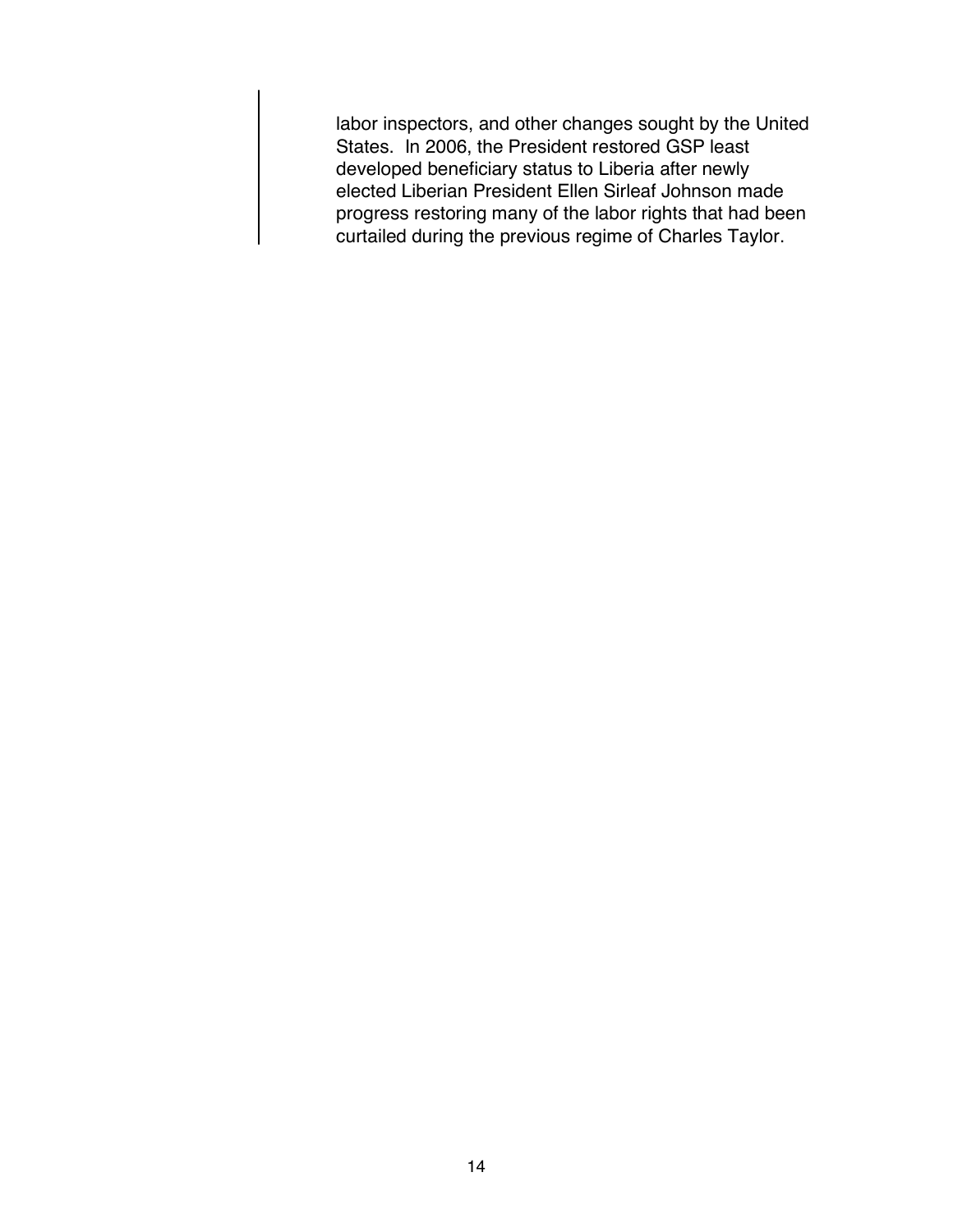labor inspectors, and other changes sought by the United States. In 2006, the President restored GSP least developed beneficiary status to Liberia after newly elected Liberian President Ellen Sirleaf Johnson made progress restoring many of the labor rights that had been curtailed during the previous regime of Charles Taylor.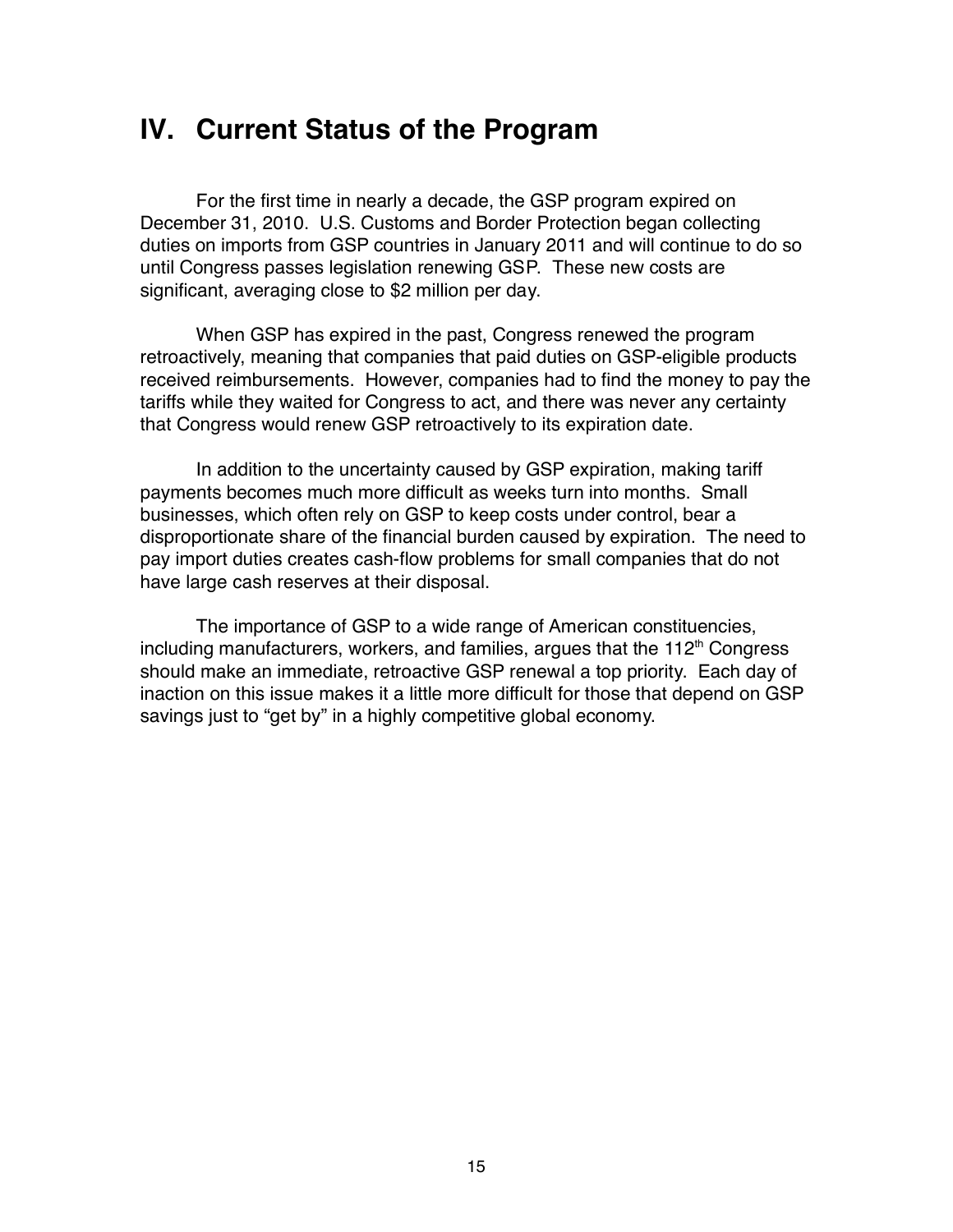# **IV. Current Status of the Program**

For the first time in nearly a decade, the GSP program expired on December 31, 2010. U.S. Customs and Border Protection began collecting duties on imports from GSP countries in January 2011 and will continue to do so until Congress passes legislation renewing GSP. These new costs are significant, averaging close to \$2 million per day.

When GSP has expired in the past, Congress renewed the program retroactively, meaning that companies that paid duties on GSP-eligible products received reimbursements. However, companies had to find the money to pay the tariffs while they waited for Congress to act, and there was never any certainty that Congress would renew GSP retroactively to its expiration date.

In addition to the uncertainty caused by GSP expiration, making tariff payments becomes much more difficult as weeks turn into months. Small businesses, which often rely on GSP to keep costs under control, bear a disproportionate share of the financial burden caused by expiration. The need to pay import duties creates cash-flow problems for small companies that do not have large cash reserves at their disposal.

The importance of GSP to a wide range of American constituencies, including manufacturers, workers, and families, argues that the 112<sup>th</sup> Congress should make an immediate, retroactive GSP renewal a top priority. Each day of inaction on this issue makes it a little more difficult for those that depend on GSP savings just to "get by" in a highly competitive global economy.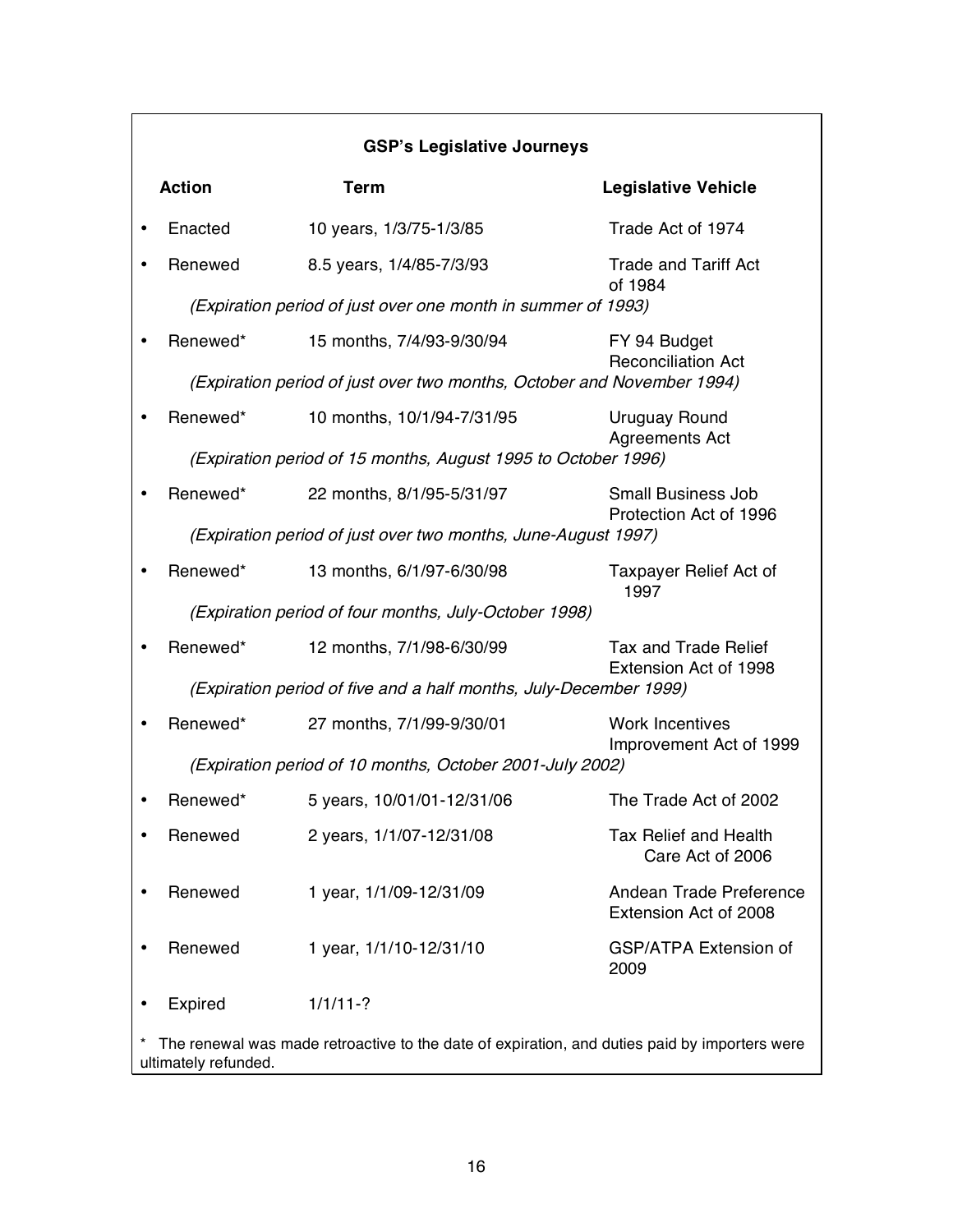|                                                                                                                       | <b>GSP's Legislative Journeys</b> |                                                                        |                                                     |  |
|-----------------------------------------------------------------------------------------------------------------------|-----------------------------------|------------------------------------------------------------------------|-----------------------------------------------------|--|
|                                                                                                                       | <b>Action</b>                     | <b>Term</b>                                                            | <b>Legislative Vehicle</b>                          |  |
|                                                                                                                       | Enacted                           | 10 years, 1/3/75-1/3/85                                                | Trade Act of 1974                                   |  |
|                                                                                                                       | Renewed                           | 8.5 years, 1/4/85-7/3/93                                               | <b>Trade and Tariff Act</b><br>of 1984              |  |
|                                                                                                                       |                                   | (Expiration period of just over one month in summer of 1993)           |                                                     |  |
|                                                                                                                       | Renewed*                          | 15 months, 7/4/93-9/30/94                                              | FY 94 Budget<br><b>Reconciliation Act</b>           |  |
|                                                                                                                       |                                   | (Expiration period of just over two months, October and November 1994) |                                                     |  |
|                                                                                                                       | Renewed*                          | 10 months, 10/1/94-7/31/95                                             | Uruguay Round<br><b>Agreements Act</b>              |  |
|                                                                                                                       |                                   | (Expiration period of 15 months, August 1995 to October 1996)          |                                                     |  |
|                                                                                                                       | Renewed*                          | 22 months, 8/1/95-5/31/97                                              | <b>Small Business Job</b><br>Protection Act of 1996 |  |
|                                                                                                                       |                                   | (Expiration period of just over two months, June-August 1997)          |                                                     |  |
|                                                                                                                       | Renewed*                          | 13 months, 6/1/97-6/30/98                                              | <b>Taxpayer Relief Act of</b><br>1997               |  |
|                                                                                                                       |                                   | (Expiration period of four months, July-October 1998)                  |                                                     |  |
|                                                                                                                       | Renewed*                          | 12 months, 7/1/98-6/30/99                                              | Tax and Trade Relief<br>Extension Act of 1998       |  |
|                                                                                                                       |                                   | (Expiration period of five and a half months, July-December 1999)      |                                                     |  |
|                                                                                                                       | Renewed*                          | 27 months, 7/1/99-9/30/01                                              | <b>Work Incentives</b><br>Improvement Act of 1999   |  |
|                                                                                                                       |                                   | (Expiration period of 10 months, October 2001-July 2002)               |                                                     |  |
|                                                                                                                       | Renewed*                          | 5 years, 10/01/01-12/31/06                                             | The Trade Act of 2002                               |  |
|                                                                                                                       | Renewed                           | 2 years, 1/1/07-12/31/08                                               | <b>Tax Relief and Health</b><br>Care Act of 2006    |  |
|                                                                                                                       | Renewed                           | 1 year, 1/1/09-12/31/09                                                | Andean Trade Preference<br>Extension Act of 2008    |  |
|                                                                                                                       | Renewed                           | 1 year, 1/1/10-12/31/10                                                | <b>GSP/ATPA Extension of</b><br>2009                |  |
|                                                                                                                       | Expired                           | $1/1/11-?$                                                             |                                                     |  |
| The renewal was made retroactive to the date of expiration, and duties paid by importers were<br>ultimately refunded. |                                   |                                                                        |                                                     |  |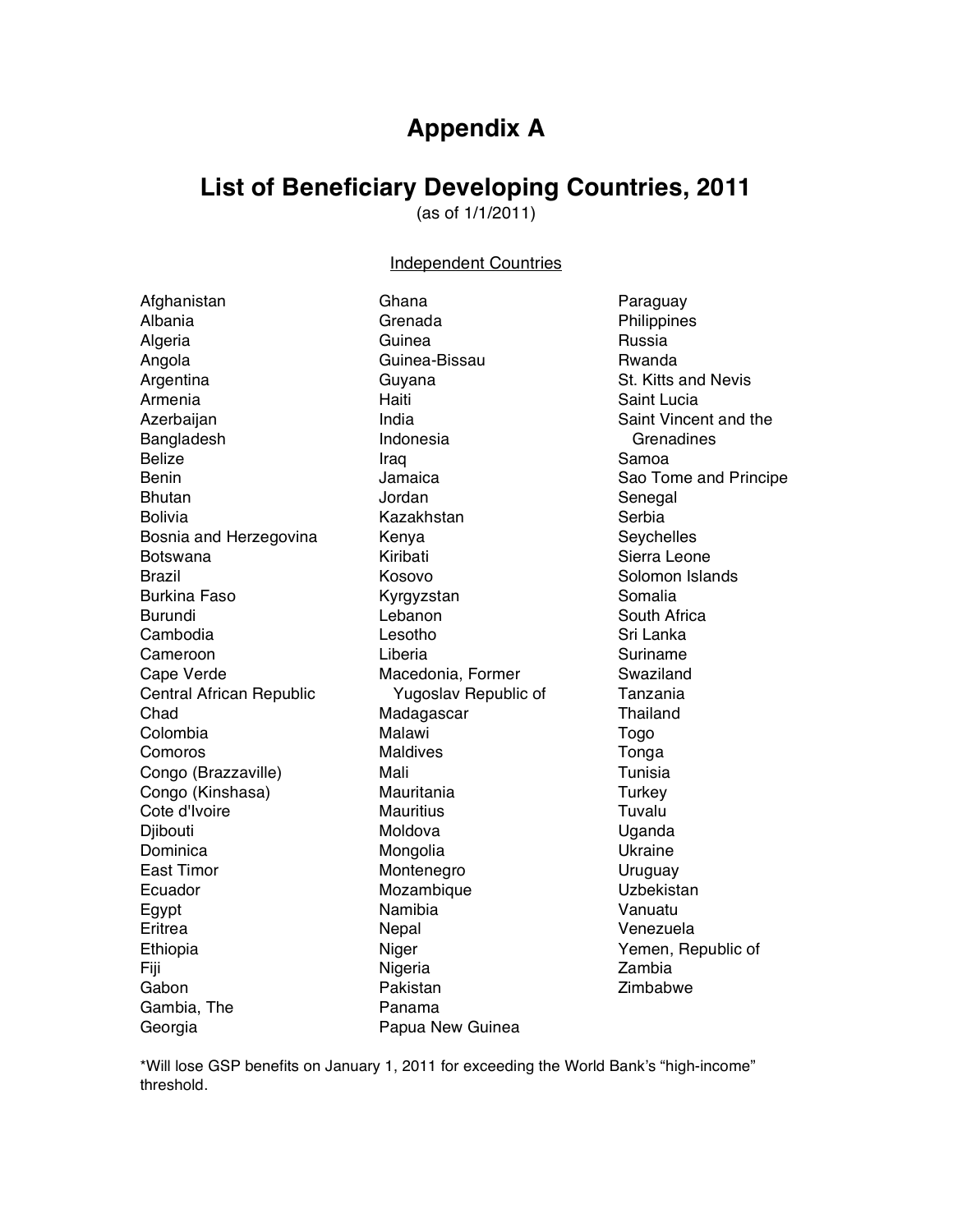## **Appendix A**

## **List of Beneficiary Developing Countries, 2011**

(as of 1/1/2011)

#### Independent Countries

| Afghanistan              | Ghana                | Paraguay    |
|--------------------------|----------------------|-------------|
| Albania                  | Grenada              | Philippine  |
| Algeria                  | Guinea               | Russia      |
| Angola                   | Guinea-Bissau        | Rwanda      |
| Argentina                | Guyana               | St. Kitts a |
| Armenia                  | Haiti                | Saint Luci  |
| Azerbaijan               | India                | Saint Vinc  |
| Bangladesh               | Indonesia            | Grenadi     |
| <b>Belize</b>            | Iraq                 | Samoa       |
| <b>Benin</b>             | Jamaica              | Sao Tome    |
| <b>Bhutan</b>            | Jordan               | Senegal     |
| <b>Bolivia</b>           | Kazakhstan           | Serbia      |
| Bosnia and Herzegovina   | Kenya                | Seychelle   |
| <b>Botswana</b>          | Kiribati             | Sierra Lec  |
| Brazil                   | Kosovo               | Solomon     |
| <b>Burkina Faso</b>      | Kyrgyzstan           | Somalia     |
| Burundi                  | Lebanon              | South Afri  |
| Cambodia                 | Lesotho              | Sri Lanka   |
| Cameroon                 | Liberia              | Suriname    |
| Cape Verde               | Macedonia, Former    | Swaziland   |
| Central African Republic | Yugoslav Republic of | Tanzania    |
| Chad                     | Madagascar           | Thailand    |
| Colombia                 | Malawi               | Togo        |
| Comoros                  | <b>Maldives</b>      | Tonga       |
| Congo (Brazzaville)      | Mali                 | Tunisia     |
| Congo (Kinshasa)         | Mauritania           | Turkey      |
| Cote d'Ivoire            | <b>Mauritius</b>     | Tuvalu      |
| Djibouti                 | Moldova              | Uganda      |
| Dominica                 | Mongolia             | Ukraine     |
| <b>East Timor</b>        | Montenegro           | Uruguay     |
| Ecuador                  | Mozambique           | Uzbekista   |
| Egypt                    | Namibia              | Vanuatu     |
| Eritrea                  | Nepal                | Venezuela   |
| Ethiopia                 | Niger                | Yemen, R    |
| Fiji                     | Nigeria              | Zambia      |
| Gabon                    | Pakistan             | Zimbabwe    |
| Gambia, The              | Panama               |             |
| Georgia                  | Papua New Guinea     |             |
|                          |                      |             |

hilippines ussia wanda t. Kitts and Nevis aint Lucia aint Vincent and the **Grenadines** amoa ao Tome and Principe enegal erbia eychelles ierra Leone olomon Islands omalia outh Africa ri Lanka uriname waziland anzania hailand Togo onga unisia urkey Tuvalu ganda kraine ruguay zbekistan anuatu enezuela emen, Republic of ambia imbabwe

\*Will lose GSP benefits on January 1, 2011 for exceeding the World Bank's "high-income" threshold.